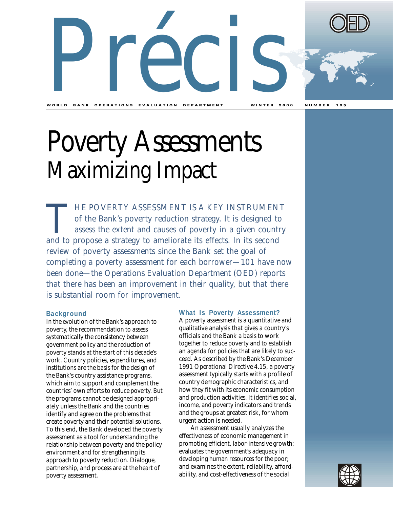

WORLD BANK OPERATIONS EVALUATION DEPARTMENT WINTER 2000 NUMBER 195

# Poverty Assessments Maximizing Impact

THE POVERTY ASSESSMENT IS A KEY INSTRUMENT<br>of the Bank's poverty reduction strategy. It is designed to<br>assess the extent and causes of poverty in a given country<br>and to propose a strategy to ameliorate its effects. In its of the Bank's poverty reduction strategy. It is designed to assess the extent and causes of poverty in a given country and to propose a strategy to ameliorate its effects. In its second review of poverty assessments since the Bank set the goal of completing a poverty assessment for each borrower—101 have now been done—the Operations Evaluation Department (OED) reports that there has been an improvement in their quality, but that there is substantial room for improvement.

# **Background**

In the evolution of the Bank's approach to poverty, the recommendation to assess systematically the consistency between government policy and the reduction of poverty stands at the start of this decade's work. Country policies, expenditures, and institutions are the basis for the design of the Bank's country assistance programs, which aim to support and complement the countries' own efforts to reduce poverty. But the programs cannot be designed appropriately unless the Bank and the countries identify and agree on the problems that create poverty and their potential solutions. To this end, the Bank developed the poverty assessment as a tool for understanding the relationship between poverty and the policy environment and for strengthening its approach to poverty reduction. Dialogue, partnership, and process are at the heart of poverty assessment.

## **What Is Poverty Assessment?**

A poverty assessment is a quantitative and qualitative analysis that gives a country's officials and the Bank a basis to work together to reduce poverty and to establish an agenda for policies that are likely to succeed. As described by the Bank's December 1991 Operational Directive 4.15, a poverty assessment typically starts with a profile of country demographic characteristics, and how they fit with its economic consumption and production activities. It identifies social, income, and poverty indicators and trends and the groups at greatest risk, for whom urgent action is needed.

An assessment usually analyzes the effectiveness of economic management in promoting efficient, labor-intensive growth; evaluates the government's adequacy in developing human resources for the poor; and examines the extent, reliability, affordability, and cost-effectiveness of the social

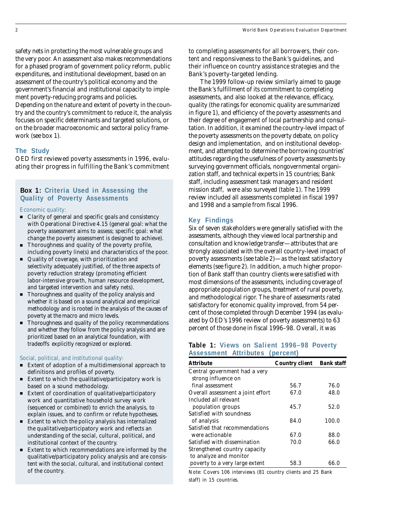safety nets in protecting the most vulnerable groups and the very poor. An assessment also makes recommendations for a phased program of government policy reform, public expenditures, and institutional development, based on an assessment of the country's political economy and the government's financial and institutional capacity to implement poverty-reducing programs and policies. Depending on the nature and extent of poverty in the country and the country's commitment to reduce it, the analysis

focuses on specific determinants and targeted solutions, or on the broader macroeconomic and sectoral policy framework (see box 1).

#### **The Study**

OED first reviewed poverty assessments in 1996, evaluating their progress in fulfilling the Bank's commitment

### **Box 1: Criteria Used in Assessing the Quality of Poverty Assessments**

#### *Economic quality:*

- Clarity of general and specific goals and consistency with Operational Directive 4.15 (general goal: what the poverty assessment aims to assess; specific goal: what change the poverty assessment is designed to achieve).
- Thoroughness and quality of the poverty profile, including poverty line(s) and characteristics of the poor.
- Quality of coverage, with prioritization and selectivity adequately justified, of the three aspects of poverty reduction strategy (promoting efficient labor-intensive growth, human resource development, and targeted intervention and safety nets).
- Thoroughness and quality of the policy analysis and whether it is based on a sound analytical and empirical methodology and is rooted in the analysis of the causes of poverty at the macro and micro levels.
- Thoroughness and quality of the policy recommendations and whether they follow from the policy analysis and are prioritized based on an analytical foundation, with tradeoffs explicitly recognized or explored.

#### *Social, political, and institutional quality:*

- Extent of adoption of a multidimensional approach to definitions and profiles of poverty.
- Extent to which the qualitative/participatory work is based on a sound methodology.
- Extent of coordination of qualitative/participatory work and quantitative household survey work (sequenced or combined) to enrich the analysis, to explain issues, and to confirm or refute hypotheses.
- Extent to which the policy analysis has internalized the qualitative/participatory work and reflects an understanding of the social, cultural, political, and institutional context of the country.
- Extent to which recommendations are informed by the qualitative/participatory policy analysis and are consistent with the social, cultural, and institutional context of the country.

to completing assessments for all borrowers, their content and responsiveness to the Bank's guidelines, and their influence on country assistance strategies and the Bank's poverty-targeted lending.

The 1999 follow-up review similarly aimed to gauge the Bank's fulfillment of its commitment to completing assessments, and also looked at the relevance, efficacy, quality (the ratings for economic quality are summarized in figure 1), and efficiency of the poverty assessments and their degree of engagement of local partnership and consultation. In addition, it examined the country-level impact of the poverty assessments on the poverty debate, on policy design and implementation, and on institutional development, and attempted to determine the borrowing countries' attitudes regarding the usefulness of poverty assessments by surveying government officials, nongovernmental organization staff, and technical experts in 15 countries; Bank staff, including assessment task managers and resident mission staff, were also surveyed (table 1). The 1999 review included all assessments completed in fiscal 1997 and 1998 and a sample from fiscal 1996.

#### **Key Findings**

Six of seven stakeholders were generally satisfied with the assessments, although they viewed local partnership and consultation and knowledge transfer—attributes that are strongly associated with the overall country-level impact of poverty assessments (see table 2)—as the least satisfactory elements (see figure 2). In addition, a much higher proportion of Bank staff than country clients were satisfied with most dimensions of the assessments, including coverage of appropriate population groups, treatment of rural poverty, and methodological rigor. The share of assessments rated satisfactory for economic quality improved, from 54 percent of those completed through December 1994 (as evaluated by OED's 1996 review of poverty assessments) to 63 percent of those done in fiscal 1996–98. Overall, it was

#### **Table 1: Views on Salient 1996–98 Poverty Assessment Attributes (percent)**

| <b>Attribute</b>                                     | <b>Country client</b> | <b>Bank staff</b> |
|------------------------------------------------------|-----------------------|-------------------|
| Central government had a very<br>strong influence on |                       |                   |
| final assessment                                     | 56.7                  | 76.0              |
| Overall assessment a joint effort                    | 67.0                  | 48.0              |
| Included all relevant                                |                       |                   |
| population groups                                    | 45.7                  | 52.0              |
| Satisfied with soundness                             |                       |                   |
| of analysis                                          | 84.0                  | 100.0             |
| Satisfied that recommendations                       |                       |                   |
| were actionable                                      | 67.0                  | 88.0              |
| Satisfied with dissemination                         | 70.0                  | 66.0              |
| Strengthened country capacity                        |                       |                   |
| to analyze and monitor                               |                       |                   |
| poverty to a very large extent                       | 58.3                  | 66.0              |

*Note:* Covers 106 interviews (81 country clients and 25 Bank staff) in 15 countries.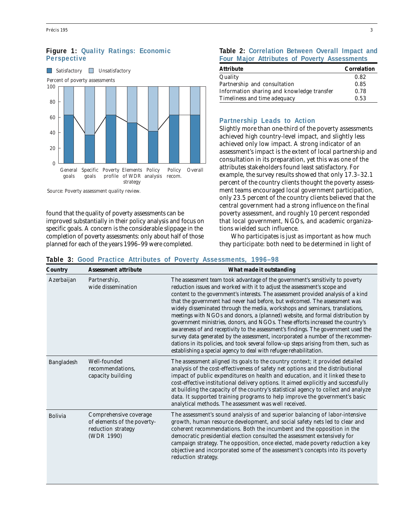# **Figure 1: Quality Ratings: Economic Perspective**



*Source:* Poverty assessment quality review.

found that the quality of poverty assessments can be improved substantially in their policy analysis and focus on specific goals. A concern is the considerable slippage in the completion of poverty assessments: only about half of those planned for each of the years 1996–99 were completed.

#### **Table 2: Correlation Between Overall Impact and Four Major Attributes of Poverty Assessments**

| <b>Attribute</b>                           | <b>Correlation</b> |
|--------------------------------------------|--------------------|
| Quality                                    | 0.82               |
| Partnership and consultation               | 0.85               |
| Information sharing and knowledge transfer | 0.78               |
| Timeliness and time adequacy               | 0.53               |

#### **Partnership Leads to Action**

Slightly more than one-third of the poverty assessments achieved high country-level impact, and slightly less achieved only low impact. A strong indicator of an assessment's impact is the extent of local partnership and consultation in its preparation, yet this was one of the attributes stakeholders found least satisfactory. For example, the survey results showed that only 17.3–32.1 percent of the country clients thought the poverty assessment teams encouraged local government participation, only 23.5 percent of the country clients believed that the central government had a strong influence on the final poverty assessment, and roughly 10 percent responded that local government, NGOs, and academic organizations wielded such influence.

*Who* participates is just as important as *how much* they participate: both need to be determined in light of

| <b>Country</b> | <b>Assessment attribute</b>                                                               | What made it outstanding                                                                                                                                                                                                                                                                                                                                                                                                                                                                                                                                                                                                                                                                                                                                                                                                                                                                                                |
|----------------|-------------------------------------------------------------------------------------------|-------------------------------------------------------------------------------------------------------------------------------------------------------------------------------------------------------------------------------------------------------------------------------------------------------------------------------------------------------------------------------------------------------------------------------------------------------------------------------------------------------------------------------------------------------------------------------------------------------------------------------------------------------------------------------------------------------------------------------------------------------------------------------------------------------------------------------------------------------------------------------------------------------------------------|
| Azerbaijan     | Partnership,<br>wide dissemination                                                        | The assessment team took advantage of the government's sensitivity to poverty<br>reduction issues and worked with it to adjust the assessment's scope and<br>content to the government's interests. The assessment provided analysis of a kind<br>that the government had never had before, but welcomed. The assessment was<br>widely disseminated through the media, workshops and seminars, translations,<br>meetings with NGOs and donors, a (planned) website, and formal distribution by<br>government ministries, donors, and NGOs. These efforts increased the country's<br>awareness of and receptivity to the assessment's findings. The government used the<br>survey data generated by the assessment, incorporated a number of the recommen-<br>dations in its policies, and took several follow-up steps arising from them, such as<br>establishing a special agency to deal with refugee rehabilitation. |
| Bangladesh     | Well-founded<br>recommendations.<br>capacity building                                     | The assessment aligned its goals to the country context; it provided detailed<br>analysis of the cost-effectiveness of safety net options and the distributional<br>impact of public expenditures on health and education, and it linked these to<br>cost-effective institutional delivery options. It aimed explicitly and successfully<br>at building the capacity of the country's statistical agency to collect and analyze<br>data. It supported training programs to help improve the government's basic<br>analytical methods. The assessment was well received.                                                                                                                                                                                                                                                                                                                                                 |
| Bolivia        | Comprehensive coverage<br>of elements of the poverty-<br>reduction strategy<br>(WDR 1990) | The assessment's sound analysis of and superior balancing of labor-intensive<br>growth, human resource development, and social safety nets led to clear and<br>coherent recommendations. Both the incumbent and the opposition in the<br>democratic presidential election consulted the assessment extensively for<br>campaign strategy. The opposition, once elected, made poverty reduction a key<br>objective and incorporated some of the assessment's concepts into its poverty<br>reduction strategy.                                                                                                                                                                                                                                                                                                                                                                                                             |

## **Table 3: Good Practice Attributes of Poverty Assessments, 1996–98**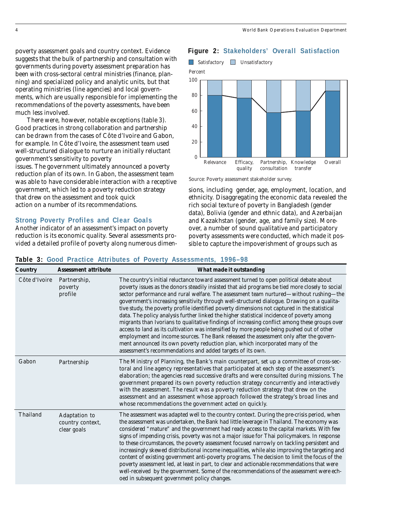poverty assessment goals and country context. Evidence suggests that the bulk of partnership and consultation with governments during poverty assessment preparation has been with cross-sectoral central ministries (finance, planning) and specialized policy and analytic units, but that operating ministries (line agencies) and local governments, which are usually responsible for implementing the recommendations of the poverty assessments, have been much less involved.

There were, however, notable exceptions (table 3). Good practices in strong collaboration and partnership can be drawn from the cases of Côte d'Ivoire and Gabon, for example. In Côte d'Ivoire, the assessment team used well-structured dialogue to nurture an initially reluctant government's sensitivity to poverty

issues. The government ultimately announced a poverty reduction plan of its own. In Gabon, the assessment team was able to have considerable interaction with a receptive government, which led to a poverty reduction strategy that drew on the assessment and took quick action on a number of its recommendations.

#### **Strong Poverty Profiles and Clear Goals**

Another indicator of an assessment's impact on poverty reduction is its economic quality. Several assessments provided a detailed profile of poverty along numerous dimen-

### **Figure 2: Stakeholders' Overall Satisfaction**





*Source:* Poverty assessment stakeholder survey.

sions, including gender, age, employment, location, and ethnicity. Disaggregating the economic data revealed the rich social texture of poverty in Bangladesh (gender data), Bolivia (gender and ethnic data), and Azerbaijan and Kazakhstan (gender, age, and family size). Moreover, a number of sound qualitative and participatory poverty assessments were conducted, which made it possible to capture the impoverishment of groups such as

| <b>Country</b> | <b>Assessment attribute</b>                      | What made it outstanding                                                                                                                                                                                                                                                                                                                                                                                                                                                                                                                                                                                                                                                                                                                                                                                                                                                                                                                                                                                                    |
|----------------|--------------------------------------------------|-----------------------------------------------------------------------------------------------------------------------------------------------------------------------------------------------------------------------------------------------------------------------------------------------------------------------------------------------------------------------------------------------------------------------------------------------------------------------------------------------------------------------------------------------------------------------------------------------------------------------------------------------------------------------------------------------------------------------------------------------------------------------------------------------------------------------------------------------------------------------------------------------------------------------------------------------------------------------------------------------------------------------------|
| Côte d'Ivoire  | Partnership,<br>poverty<br>profile               | The country's initial reluctance toward assessment turned to open political debate about<br>poverty issues as the donors steadily insisted that aid programs be tied more closely to social<br>sector performance and rural welfare. The assessment team nurtured—without rushing—the<br>government's increasing sensitivity through well-structured dialogue. Drawing on a qualita-<br>tive study, the poverty profile identified poverty dimensions not captured in the statistical<br>data. The policy analysis further linked the higher statistical incidence of poverty among<br>migrants than Ivorians to qualitative findings of increasing conflict among these groups over<br>access to land as its cultivation was intensified by more people being pushed out of other<br>employment and income sources. The Bank released the assessment only after the govern-<br>ment announced its own poverty reduction plan, which incorporated many of the<br>assessment's recommendations and added targets of its own. |
| Gabon          | Partnership                                      | The Ministry of Planning, the Bank's main counterpart, set up a committee of cross-sec-<br>toral and line agency representatives that participated at each step of the assessment's<br>elaboration; the agencies read successive drafts and were consulted during missions. The<br>government prepared its own poverty reduction strategy concurrently and interactively<br>with the assessment. The result was a poverty reduction strategy that drew on the<br>assessment and an assessment whose approach followed the strategy's broad lines and<br>whose recommendations the government acted on quickly.                                                                                                                                                                                                                                                                                                                                                                                                              |
| Thailand       | Adaptation to<br>country context,<br>clear goals | The assessment was adapted well to the country context. During the pre-crisis period, when<br>the assessment was undertaken, the Bank had little leverage in Thailand. The economy was<br>considered "mature" and the government had ready access to the capital markets. With few<br>signs of impending crisis, poverty was not a major issue for Thai policymakers. In response<br>to these circumstances, the poverty assessment focused narrowly on tackling persistent and<br>increasingly skewed distributional income inequalities, while also improving the targeting and<br>content of existing government anti-poverty programs. The decision to limit the focus of the<br>poverty assessment led, at least in part, to clear and actionable recommendations that were<br>well-received by the government. Some of the recommendations of the assessment were ech-<br>oed in subsequent government policy changes.                                                                                                |

#### **Table 3: Good Practice Attributes of Poverty Assessments, 1996–98**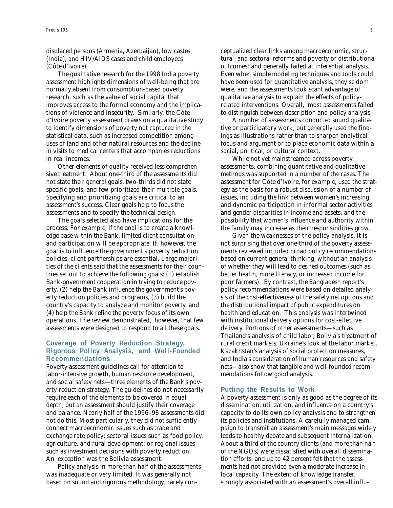displaced persons (Armenia, Azerbaijan), low castes (India), and HIV/AIDS cases and child employees (Côte d'Ivoire).

The qualitative research for the 1998 India poverty assessment highlights dimensions of well-being that are normally absent from consumption-based poverty research, such as the value of social capital that improves access to the formal economy and the implications of violence and insecurity. Similarly, the Côte d'Ivoire poverty assessment draws on a qualitative study to identify dimensions of poverty not captured in the statistical data, such as increased competition among uses of land and other natural resources and the decline in visits to medical centers that accompanies reductions in real incomes.

Other elements of quality received less comprehensive treatment. About one-third of the assessments did not state their general goals, two-thirds did not state specific goals, and few prioritized their multiple goals. Specifying and prioritizing goals are critical to an assessment's success. Clear goals help to focus the assessments and to specify the technical design.

The goals selected also have implications for the process. For example, if the goal is to create a knowledge base within the Bank, limited client consultation and participation will be appropriate. If, however, the goal is to influence the government's poverty reduction policies, client partnerships are essential. Large majorities of the clients said that the assessments for their countries set out to achieve the following goals: (1) establish Bank-government cooperation in trying to reduce poverty, (2) help the Bank influence the government's poverty reduction policies and programs, (3) build the country's capacity to analyze and monitor poverty, and (4) help the Bank refine the poverty focus of its own operations. The review demonstrated, however, that few assessments were designed to respond to all these goals.

### **Coverage of Poverty Reduction Strategy, Rigorous Policy Analysis, and Well-Founded Recommendations**

Poverty assessment guidelines call for attention to labor-intensive growth, human resource development, and social safety nets—three elements of the Bank's poverty reduction strategy. The guidelines do not necessarily require each of the elements to be covered in equal depth, but an assessment should justify their coverage and balance. Nearly half of the 1996–98 assessments did not do this. Most particularly, they did not sufficiently connect macroeconomic issues such as trade and exchange rate policy; sectoral issues such as food policy, agriculture, and rural development; or regional issues such as investment decisions with poverty reduction. An exception was the Bolivia assessment.

Policy analysis in more than half of the assessments was inadequate or very limited. It was generally not based on sound and rigorous methodology; rarely con-

ceptualized clear links among macroeconomic, structural, and sectoral reforms and poverty or distributional outcomes; and generally failed at inferential analysis. Even when simple modeling techniques and tools could have been used for quantitative analysis, they seldom were, and the assessments took scant advantage of qualitative analysis to explain the effects of policyrelated interventions. Overall, most assessments failed to distinguish between description and policy analysis.

A number of assessments conducted sound qualitative or participatory work, but generally used the findings as illustrations rather than to sharpen analytical focus and argument or to place economic data within a social, political, or cultural context.

While not yet mainstreamed across poverty assessments, combining quantitative and qualitative methods was supported in a number of the cases. The assessment for Côte d'Ivoire, for example, used the strategy as the basis for a robust discussion of a number of issues, including the link between women's increasing and dynamic participation in informal sector activities and gender disparities in income and assets, and the possibility that women's influence and authority within the family may increase as their responsibilities grow.

Given the weaknesses of the policy analysis, it is not surprising that over one-third of the poverty assessments reviewed included broad policy recommendations based on current general thinking, without an analysis of whether they will lead to desired outcomes (such as better health, more literacy, or increased income for poor farmers). By contrast, the Bangladesh report's policy recommendations were based on detailed analysis of the cost-effectiveness of the safety net options and the distributional impact of public expenditures on health and education. This analysis was intertwined with institutional delivery options for cost-effective delivery. Portions of other assessments—such as Thailand's analysis of child labor, Bolivia's treatment of rural credit markets, Ukraine's look at the labor market, Kazakhstan's analysis of social protection measures, and India's consideration of human resources and safety nets—also show that tangible and well-founded recommendations follow good analysis.

#### **Putting the Results to Work**

A poverty assessment is only as good as the degree of its dissemination, utilization, and influence on a country's capacity to do its own policy analysis and to strengthen its policies and institutions. A carefully managed campaign to transmit an assessment's main messages widely leads to healthy debate and subsequent internalization. About a third of the country clients (and more than half of the NGOs) were dissatisfied with overall dissemination efforts, and up to 42 percent felt that the assessments had not provided even a moderate increase in local capacity. The extent of knowledge transfer, strongly associated with an assessment's overall influ-